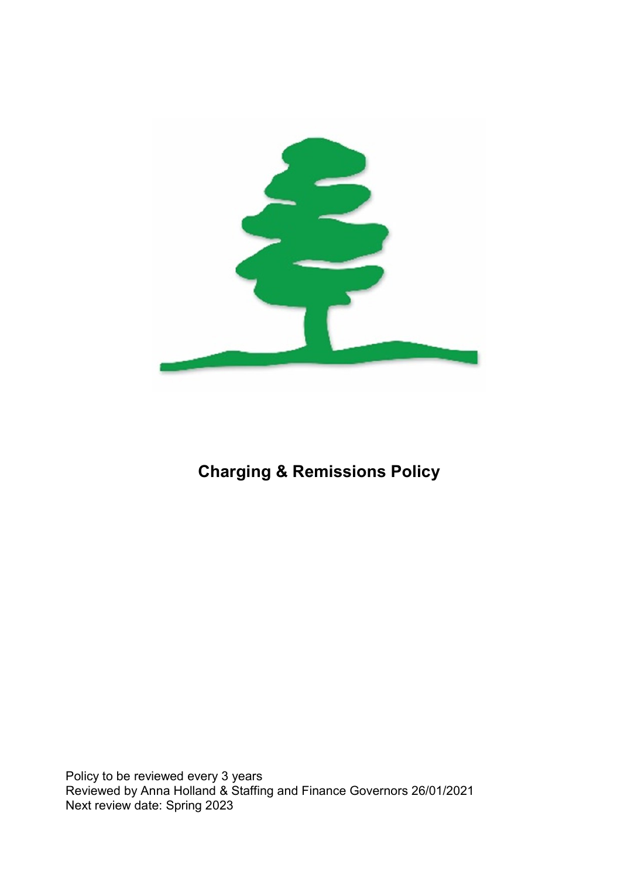

# Charging & Remissions Policy

Policy to be reviewed every 3 years Reviewed by Anna Holland & Staffing and Finance Governors 26/01/2021 Next review date: Spring 2023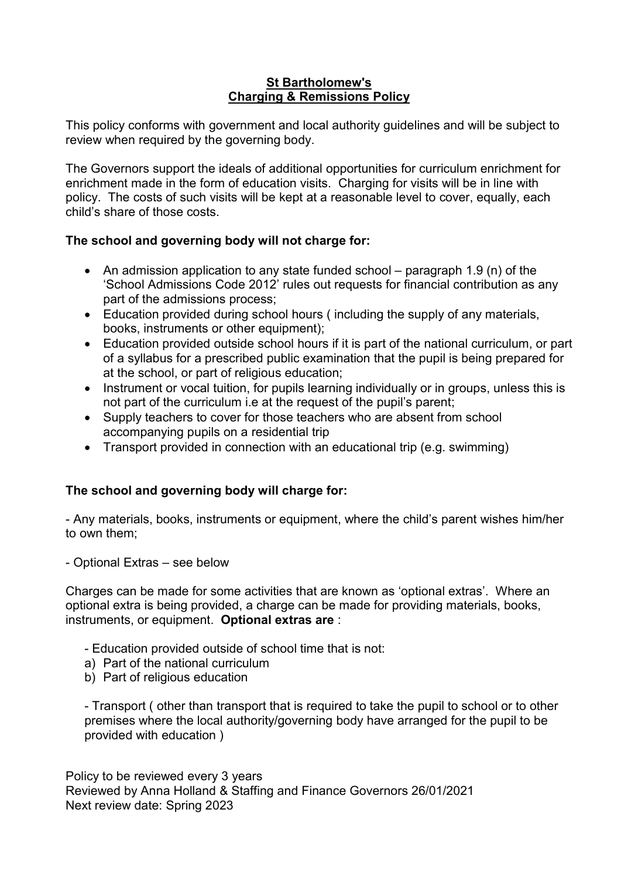## St Bartholomew's Charging & Remissions Policy

This policy conforms with government and local authority guidelines and will be subject to review when required by the governing body.

The Governors support the ideals of additional opportunities for curriculum enrichment for enrichment made in the form of education visits. Charging for visits will be in line with policy. The costs of such visits will be kept at a reasonable level to cover, equally, each child's share of those costs.

# The school and governing body will not charge for:

- An admission application to any state funded school paragraph 1.9 (n) of the 'School Admissions Code 2012' rules out requests for financial contribution as any part of the admissions process;
- Education provided during school hours ( including the supply of any materials, books, instruments or other equipment);
- Education provided outside school hours if it is part of the national curriculum, or part of a syllabus for a prescribed public examination that the pupil is being prepared for at the school, or part of religious education;
- Instrument or vocal tuition, for pupils learning individually or in groups, unless this is not part of the curriculum i.e at the request of the pupil's parent;
- Supply teachers to cover for those teachers who are absent from school accompanying pupils on a residential trip
- Transport provided in connection with an educational trip (e.g. swimming)

# The school and governing body will charge for:

- Any materials, books, instruments or equipment, where the child's parent wishes him/her to own them;

- Optional Extras – see below

Charges can be made for some activities that are known as 'optional extras'. Where an optional extra is being provided, a charge can be made for providing materials, books, instruments, or equipment. Optional extras are :

- Education provided outside of school time that is not:
- a) Part of the national curriculum
- b) Part of religious education

- Transport ( other than transport that is required to take the pupil to school or to other premises where the local authority/governing body have arranged for the pupil to be provided with education )

Policy to be reviewed every 3 years Reviewed by Anna Holland & Staffing and Finance Governors 26/01/2021 Next review date: Spring 2023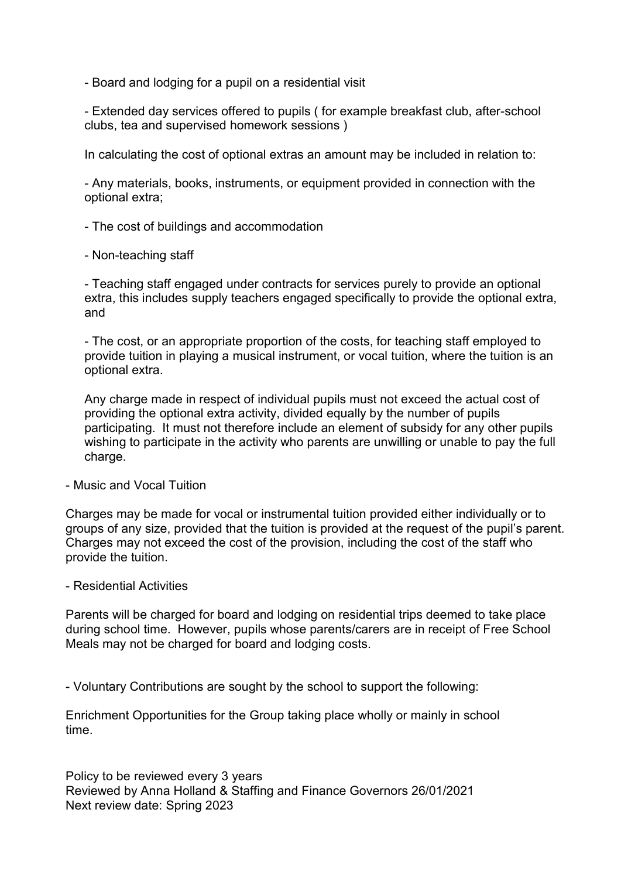- Board and lodging for a pupil on a residential visit

- Extended day services offered to pupils ( for example breakfast club, after-school clubs, tea and supervised homework sessions )

In calculating the cost of optional extras an amount may be included in relation to:

- Any materials, books, instruments, or equipment provided in connection with the optional extra;

- The cost of buildings and accommodation

- Non-teaching staff

- Teaching staff engaged under contracts for services purely to provide an optional extra, this includes supply teachers engaged specifically to provide the optional extra, and

- The cost, or an appropriate proportion of the costs, for teaching staff employed to provide tuition in playing a musical instrument, or vocal tuition, where the tuition is an optional extra.

Any charge made in respect of individual pupils must not exceed the actual cost of providing the optional extra activity, divided equally by the number of pupils participating. It must not therefore include an element of subsidy for any other pupils wishing to participate in the activity who parents are unwilling or unable to pay the full charge.

#### - Music and Vocal Tuition

Charges may be made for vocal or instrumental tuition provided either individually or to groups of any size, provided that the tuition is provided at the request of the pupil's parent. Charges may not exceed the cost of the provision, including the cost of the staff who provide the tuition.

#### - Residential Activities

Parents will be charged for board and lodging on residential trips deemed to take place during school time. However, pupils whose parents/carers are in receipt of Free School Meals may not be charged for board and lodging costs.

- Voluntary Contributions are sought by the school to support the following:

Enrichment Opportunities for the Group taking place wholly or mainly in school time.

Policy to be reviewed every 3 years Reviewed by Anna Holland & Staffing and Finance Governors 26/01/2021 Next review date: Spring 2023